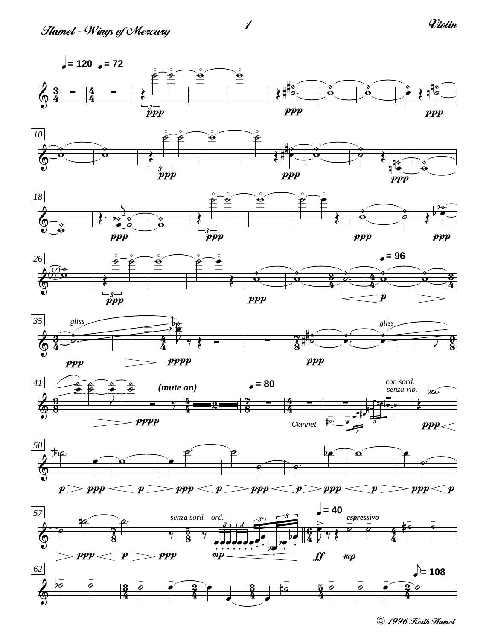



Violin

1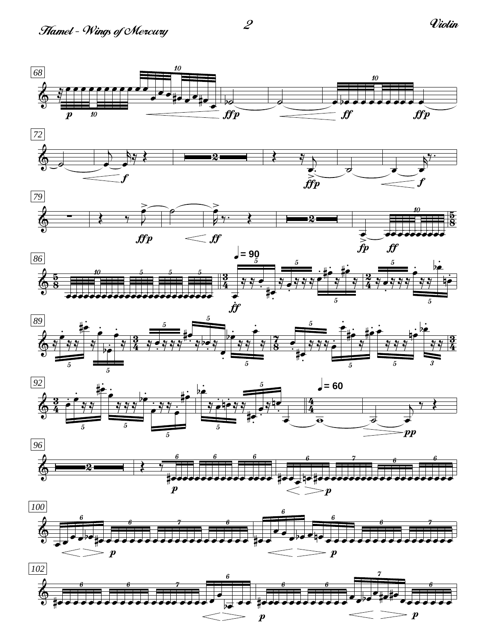

















 $\overline{\mathcal{L}}$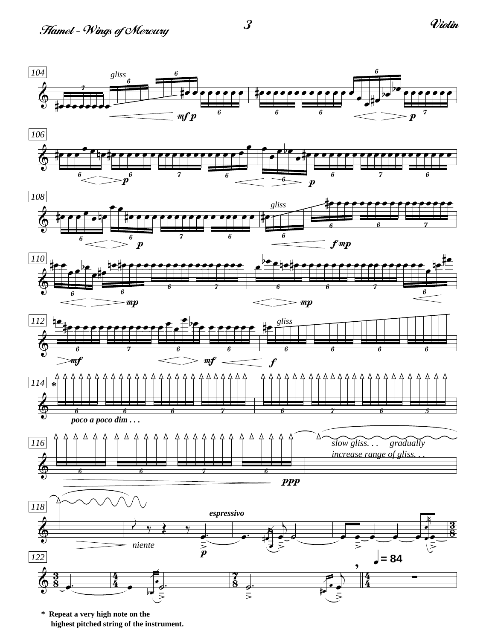

 **highest pitched string of the instrument.**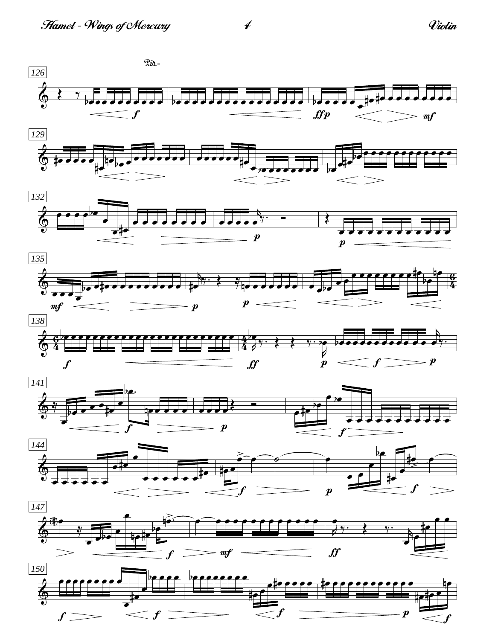

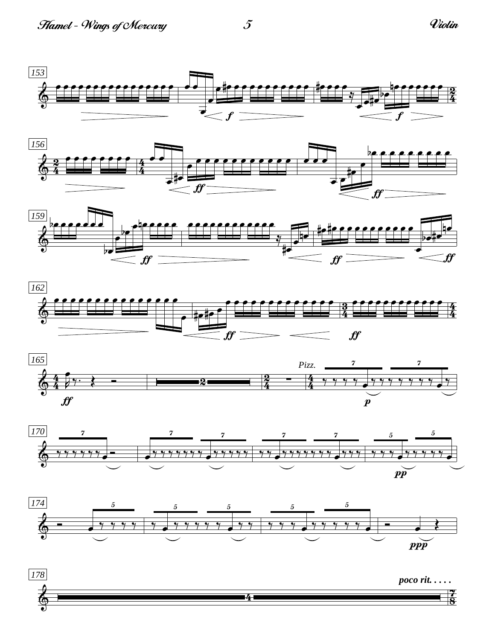















 $\mathcal{J}_{0}$